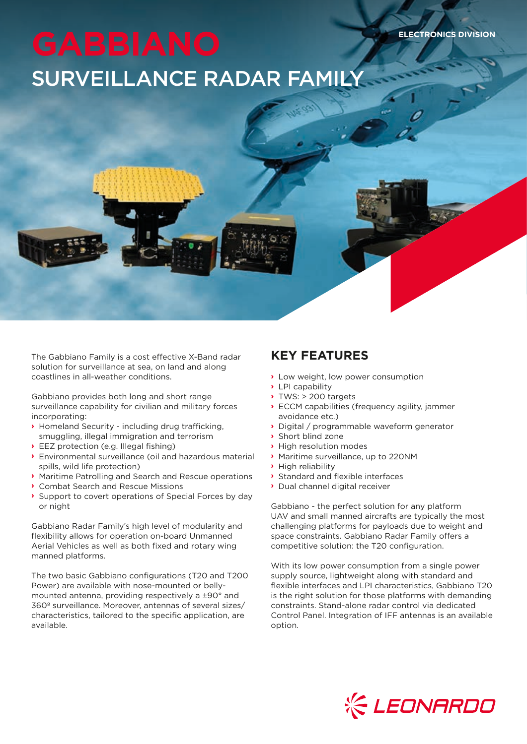# SURVEILLANCE RADAR FAMILY

The Gabbiano Family is a cost effective X-Band radar solution for surveillance at sea, on land and along coastlines in all-weather conditions.

Gabbiano provides both long and short range surveillance capability for civilian and military forces incorporating:

- **›** Homeland Security including drug trafficking, smuggling, illegal immigration and terrorism
- **›** EEZ protection (e.g. Illegal fishing)
- **›** Environmental surveillance (oil and hazardous material spills, wild life protection)
- **›** Maritime Patrolling and Search and Rescue operations
- **›** Combat Search and Rescue Missions
- **›** Support to covert operations of Special Forces by day or night

Gabbiano Radar Family's high level of modularity and flexibility allows for operation on-board Unmanned Aerial Vehicles as well as both fixed and rotary wing manned platforms.

The two basic Gabbiano configurations (T20 and T200 Power) are available with nose-mounted or bellymounted antenna, providing respectively a ±90° and 360º surveillance. Moreover, antennas of several sizes/ characteristics, tailored to the specific application, are available.

### **KEY FEATURES**

- **›** Low weight, low power consumption
- **›** LPI capability
- **›** TWS: > 200 targets
- **›** ECCM capabilities (frequency agility, jammer avoidance etc.)

**ELECTRONICS DIVISION**

- **›** Digital / programmable waveform generator
- **›** Short blind zone
- **›** High resolution modes
- **›** Maritime surveillance, up to 220NM
- **›** High reliability
- **›** Standard and flexible interfaces
- **›** Dual channel digital receiver

Gabbiano - the perfect solution for any platform UAV and small manned aircrafts are typically the most challenging platforms for payloads due to weight and space constraints. Gabbiano Radar Family offers a competitive solution: the T20 configuration.

With its low power consumption from a single power supply source, lightweight along with standard and flexible interfaces and LPI characteristics, Gabbiano T20 is the right solution for those platforms with demanding constraints. Stand-alone radar control via dedicated Control Panel. Integration of IFF antennas is an available option.